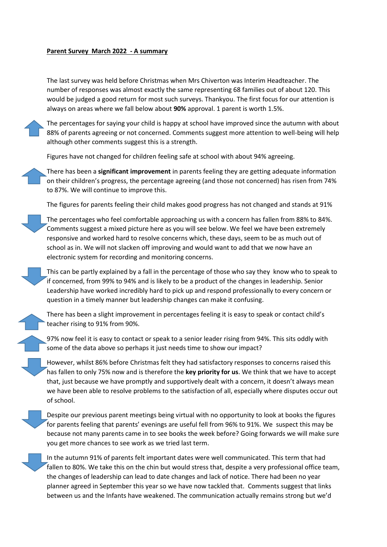## **Parent Survey March 2022 - A summary**

The last survey was held before Christmas when Mrs Chiverton was Interim Headteacher. The number of responses was almost exactly the same representing 68 families out of about 120. This would be judged a good return for most such surveys. Thankyou. The first focus for our attention is always on areas where we fall below about **90%** approval. 1 parent is worth 1.5%.

The percentages for saying your child is happy at school have improved since the autumn with about 88% of parents agreeing or not concerned. Comments suggest more attention to well-being will help although other comments suggest this is a strength.

Figures have not changed for children feeling safe at school with about 94% agreeing.

There has been a **significant improvement** in parents feeling they are getting adequate information on their children's progress, the percentage agreeing (and those not concerned) has risen from 74% to 87%. We will continue to improve this.

The figures for parents feeling their child makes good progress has not changed and stands at 91%

The percentages who feel comfortable approaching us with a concern has fallen from 88% to 84%. Comments suggest a mixed picture here as you will see below. We feel we have been extremely responsive and worked hard to resolve concerns which, these days, seem to be as much out of school as in. We will not slacken off improving and would want to add that we now have an electronic system for recording and monitoring concerns.

This can be partly explained by a fall in the percentage of those who say they know who to speak to if concerned, from 99% to 94% and is likely to be a product of the changes in leadership. Senior Leadership have worked incredibly hard to pick up and respond professionally to every concern or question in a timely manner but leadership changes can make it confusing.

There has been a slight improvement in percentages feeling it is easy to speak or contact child's teacher rising to 91% from 90%.

97% now feel it is easy to contact or speak to a senior leader rising from 94%. This sits oddly with some of the data above so perhaps it just needs time to show our impact?

However, whilst 86% before Christmas felt they had satisfactory responses to concerns raised this has fallen to only 75% now and is therefore the **key priority for us**. We think that we have to accept that, just because we have promptly and supportively dealt with a concern, it doesn't always mean we have been able to resolve problems to the satisfaction of all, especially where disputes occur out of school.

Despite our previous parent meetings being virtual with no opportunity to look at books the figures for parents feeling that parents' evenings are useful fell from 96% to 91%. We suspect this may be because not many parents came in to see books the week before? Going forwards we will make sure you get more chances to see work as we tried last term.

In the autumn 91% of parents felt important dates were well communicated. This term that had fallen to 80%. We take this on the chin but would stress that, despite a very professional office team, the changes of leadership can lead to date changes and lack of notice. There had been no year planner agreed in September this year so we have now tackled that. Comments suggest that links between us and the Infants have weakened. The communication actually remains strong but we'd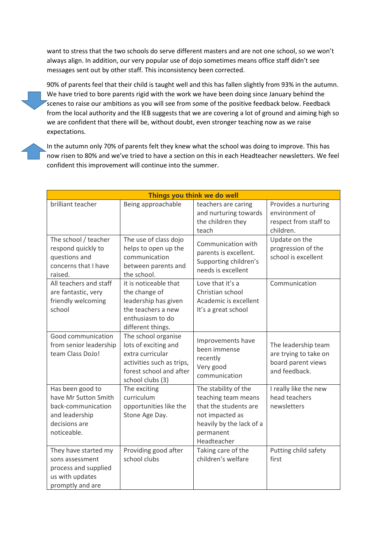want to stress that the two schools do serve different masters and are not one school, so we won't always align. In addition, our very popular use of dojo sometimes means office staff didn't see messages sent out by other staff. This inconsistency been corrected.

90% of parents feel that their child is taught well and this has fallen slightly from 93% in the autumn. We have tried to bore parents rigid with the work we have been doing since January behind the scenes to raise our ambitions as you will see from some of the positive feedback below. Feedback from the local authority and the IEB suggests that we are covering a lot of ground and aiming high so we are confident that there will be, without doubt, even stronger teaching now as we raise expectations.

In the autumn only 70% of parents felt they knew what the school was doing to improve. This has now risen to 80% and we've tried to have a section on this in each Headteacher newsletters. We feel confident this improvement will continue into the summer.

| Things you think we do well                                                                                      |                                                                                                                                             |                                                                                                                                                 |                                                                                     |  |  |  |  |  |
|------------------------------------------------------------------------------------------------------------------|---------------------------------------------------------------------------------------------------------------------------------------------|-------------------------------------------------------------------------------------------------------------------------------------------------|-------------------------------------------------------------------------------------|--|--|--|--|--|
| brilliant teacher                                                                                                | Being approachable                                                                                                                          | teachers are caring<br>and nurturing towards<br>the children they<br>teach                                                                      | Provides a nurturing<br>environment of<br>respect from staff to<br>children.        |  |  |  |  |  |
| The school / teacher<br>respond quickly to<br>questions and<br>concerns that I have<br>raised.                   | The use of class dojo<br>helps to open up the<br>communication<br>between parents and<br>the school.                                        | Communication with<br>parents is excellent.<br>Supporting children's<br>needs is excellent                                                      | Update on the<br>progression of the<br>school is excellent                          |  |  |  |  |  |
| All teachers and staff<br>are fantastic, very<br>friendly welcoming<br>school                                    | it is noticeable that<br>the change of<br>leadership has given<br>the teachers a new<br>enthusiasm to do<br>different things.               | Love that it's a<br>Christian school<br>Academic is excellent<br>It's a great school                                                            | Communication                                                                       |  |  |  |  |  |
| Good communication<br>from senior leadership<br>team Class DoJo!                                                 | The school organise<br>lots of exciting and<br>extra curricular<br>activities such as trips,<br>forest school and after<br>school clubs (3) | Improvements have<br>been immense<br>recently<br>Very good<br>communication                                                                     | The leadership team<br>are trying to take on<br>board parent views<br>and feedback. |  |  |  |  |  |
| Has been good to<br>have Mr Sutton Smith<br>back-communication<br>and leadership<br>decisions are<br>noticeable. | The exciting<br>curriculum<br>opportunities like the<br>Stone Age Day.                                                                      | The stability of the<br>teaching team means<br>that the students are<br>not impacted as<br>heavily by the lack of a<br>permanent<br>Headteacher | I really like the new<br>head teachers<br>newsletters                               |  |  |  |  |  |
| They have started my<br>sons assessment<br>process and supplied<br>us with updates<br>promptly and are           | Providing good after<br>school clubs                                                                                                        | Taking care of the<br>children's welfare                                                                                                        | Putting child safety<br>first                                                       |  |  |  |  |  |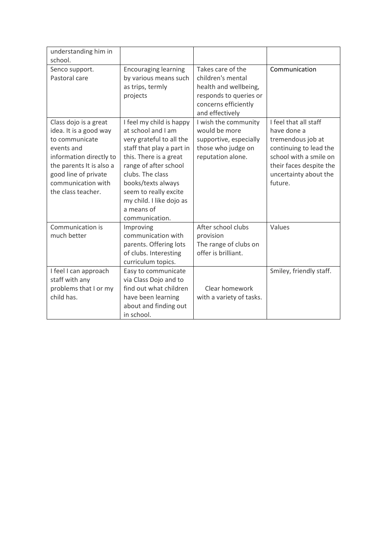| understanding him in<br>school.                                                                                                                                                                            |                                                                                                                                                                                                                                                                                           |                                                                                                                                      |                                                                                                                                                                              |
|------------------------------------------------------------------------------------------------------------------------------------------------------------------------------------------------------------|-------------------------------------------------------------------------------------------------------------------------------------------------------------------------------------------------------------------------------------------------------------------------------------------|--------------------------------------------------------------------------------------------------------------------------------------|------------------------------------------------------------------------------------------------------------------------------------------------------------------------------|
| Senco support.<br>Pastoral care                                                                                                                                                                            | <b>Encouraging learning</b><br>by various means such<br>as trips, termly<br>projects                                                                                                                                                                                                      | Takes care of the<br>children's mental<br>health and wellbeing,<br>responds to queries or<br>concerns efficiently<br>and effectively | Communication                                                                                                                                                                |
| Class dojo is a great<br>idea. It is a good way<br>to communicate<br>events and<br>information directly to<br>the parents It is also a<br>good line of private<br>communication with<br>the class teacher. | I feel my child is happy<br>at school and I am<br>very grateful to all the<br>staff that play a part in<br>this. There is a great<br>range of after school<br>clubs. The class<br>books/texts always<br>seem to really excite<br>my child. I like dojo as<br>a means of<br>communication. | I wish the community<br>would be more<br>supportive, especially<br>those who judge on<br>reputation alone.                           | I feel that all staff<br>have done a<br>tremendous job at<br>continuing to lead the<br>school with a smile on<br>their faces despite the<br>uncertainty about the<br>future. |
| Communication is<br>much better                                                                                                                                                                            | Improving<br>communication with<br>parents. Offering lots<br>of clubs. Interesting<br>curriculum topics.                                                                                                                                                                                  | After school clubs<br>provision<br>The range of clubs on<br>offer is brilliant.                                                      | Values                                                                                                                                                                       |
| I feel I can approach<br>staff with any<br>problems that I or my<br>child has.                                                                                                                             | Easy to communicate<br>via Class Dojo and to<br>find out what children<br>have been learning<br>about and finding out<br>in school.                                                                                                                                                       | Clear homework<br>with a variety of tasks.                                                                                           | Smiley, friendly staff.                                                                                                                                                      |